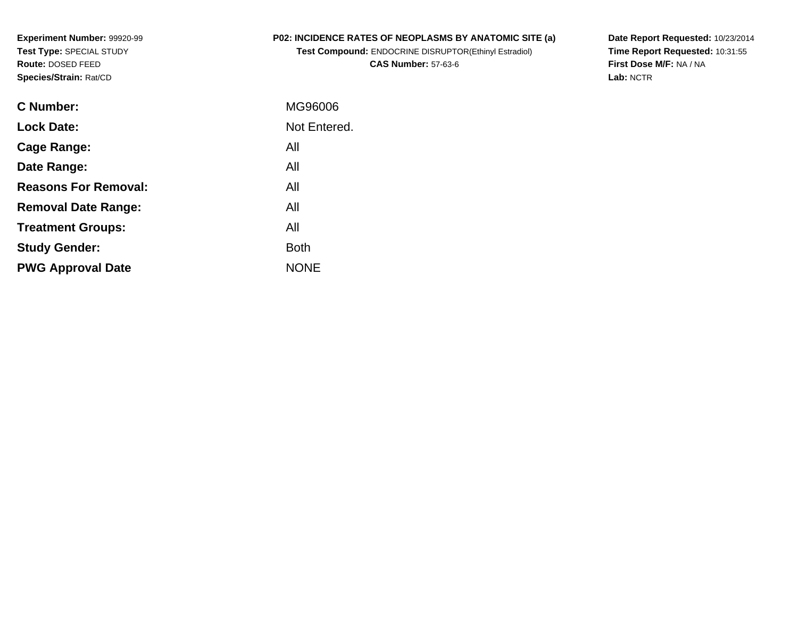**Experiment Number:** 99920-99**Test Type:** SPECIAL STUDY**Route:** DOSED FEED**Species/Strain:** Rat/CD

## **P02: INCIDENCE RATES OF NEOPLASMS BY ANATOMIC SITE (a)**

**Test Compound:** ENDOCRINE DISRUPTOR(Ethinyl Estradiol)**CAS Number:** 57-63-6

**Date Report Requested:** 10/23/2014 **Time Report Requested:** 10:31:55**First Dose M/F:** NA / NA**Lab:** NCTR

| <b>C</b> Number:            | MG96006      |
|-----------------------------|--------------|
| <b>Lock Date:</b>           | Not Entered. |
| Cage Range:                 | All          |
| Date Range:                 | All          |
| <b>Reasons For Removal:</b> | All          |
| <b>Removal Date Range:</b>  | All          |
| <b>Treatment Groups:</b>    | All          |
| <b>Study Gender:</b>        | <b>Both</b>  |
| <b>PWG Approval Date</b>    | <b>NONE</b>  |
|                             |              |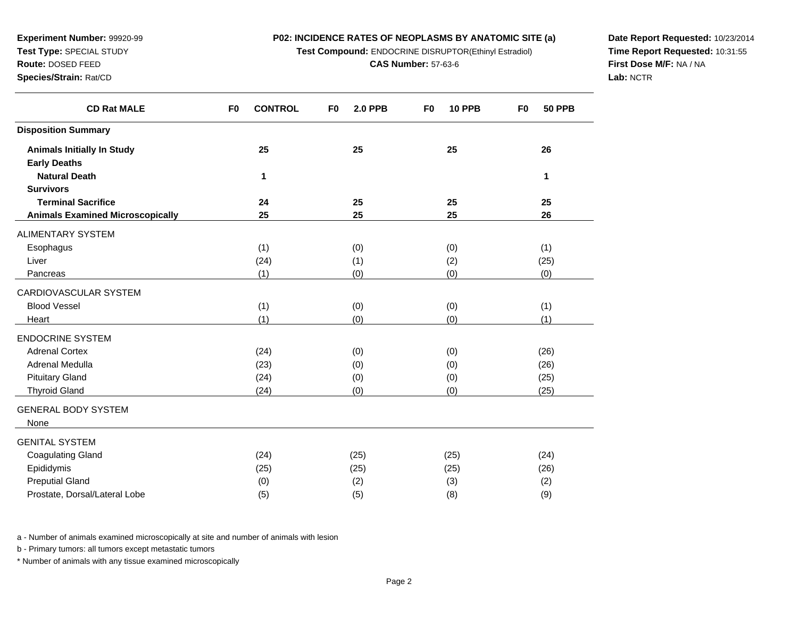## **P02: INCIDENCE RATES OF NEOPLASMS BY ANATOMIC SITE (a)**

**Test Compound:** ENDOCRINE DISRUPTOR(Ethinyl Estradiol)

**CAS Number:** 57-63-6

**Date Report Requested:** 10/23/2014**Time Report Requested:** 10:31:55**First Dose M/F:** NA / NA**Lab:** NCTR

| <b>CD Rat MALE</b>                      | <b>CONTROL</b><br>F <sub>0</sub> | F <sub>0</sub><br><b>2.0 PPB</b> | F <sub>0</sub><br><b>10 PPB</b> | <b>50 PPB</b><br>F <sub>0</sub> |
|-----------------------------------------|----------------------------------|----------------------------------|---------------------------------|---------------------------------|
| <b>Disposition Summary</b>              |                                  |                                  |                                 |                                 |
| <b>Animals Initially In Study</b>       | 25                               | 25                               | 25                              | 26                              |
| <b>Early Deaths</b>                     |                                  |                                  |                                 |                                 |
| <b>Natural Death</b>                    | 1                                |                                  |                                 | 1                               |
| <b>Survivors</b>                        |                                  |                                  |                                 |                                 |
| <b>Terminal Sacrifice</b>               | 24                               | 25                               | 25                              | 25                              |
| <b>Animals Examined Microscopically</b> | 25                               | 25                               | 25                              | 26                              |
| <b>ALIMENTARY SYSTEM</b>                |                                  |                                  |                                 |                                 |
| Esophagus                               | (1)                              | (0)                              | (0)                             | (1)                             |
| Liver                                   | (24)                             | (1)                              | (2)                             | (25)                            |
| Pancreas                                | (1)                              | (0)                              | (0)                             | (0)                             |
| CARDIOVASCULAR SYSTEM                   |                                  |                                  |                                 |                                 |
| <b>Blood Vessel</b>                     | (1)                              | (0)                              | (0)                             | (1)                             |
| Heart                                   | (1)                              | (0)                              | (0)                             | (1)                             |
| <b>ENDOCRINE SYSTEM</b>                 |                                  |                                  |                                 |                                 |
| <b>Adrenal Cortex</b>                   | (24)                             | (0)                              | (0)                             | (26)                            |
| Adrenal Medulla                         | (23)                             | (0)                              | (0)                             | (26)                            |
| <b>Pituitary Gland</b>                  | (24)                             | (0)                              | (0)                             | (25)                            |
| <b>Thyroid Gland</b>                    | (24)                             | (0)                              | (0)                             | (25)                            |
| <b>GENERAL BODY SYSTEM</b>              |                                  |                                  |                                 |                                 |
| None                                    |                                  |                                  |                                 |                                 |
| <b>GENITAL SYSTEM</b>                   |                                  |                                  |                                 |                                 |
| <b>Coagulating Gland</b>                | (24)                             | (25)                             | (25)                            | (24)                            |
| Epididymis                              | (25)                             | (25)                             | (25)                            | (26)                            |
| <b>Preputial Gland</b>                  | (0)                              | (2)                              | (3)                             | (2)                             |
| Prostate, Dorsal/Lateral Lobe           | (5)                              | (5)                              | (8)                             | (9)                             |

a - Number of animals examined microscopically at site and number of animals with lesion

b - Primary tumors: all tumors except metastatic tumors

**Experiment Number:** 99920-99**Test Type:** SPECIAL STUDY**Route:** DOSED FEED**Species/Strain:** Rat/CD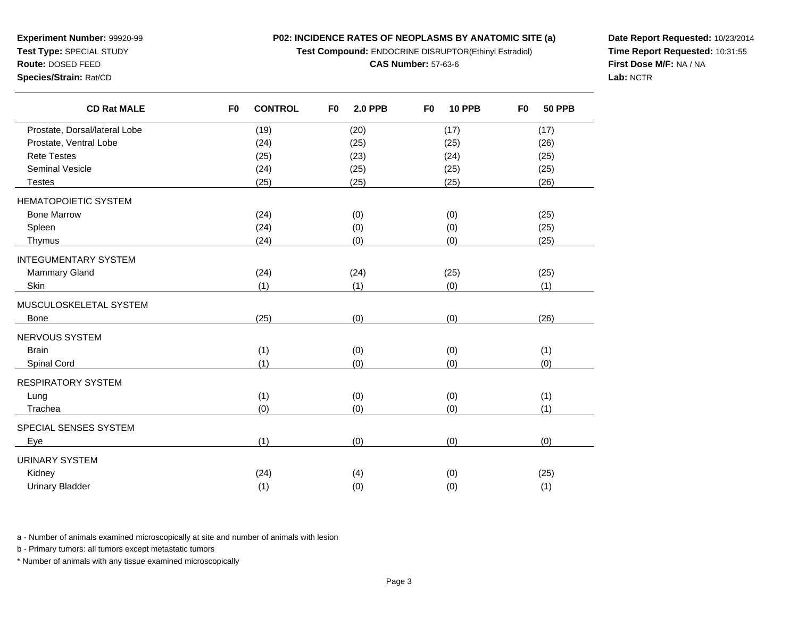**P02: INCIDENCE RATES OF NEOPLASMS BY ANATOMIC SITE (a)**

**Test Compound:** ENDOCRINE DISRUPTOR(Ethinyl Estradiol)

#### **CAS Number:** 57-63-6

**Date Report Requested:** 10/23/2014**Time Report Requested:** 10:31:55**First Dose M/F:** NA / NA**Lab:** NCTR

| <b>CD Rat MALE</b>            | F <sub>0</sub> | <b>CONTROL</b> | F <sub>0</sub> | <b>2.0 PPB</b> | F <sub>0</sub> | <b>10 PPB</b> | F <sub>0</sub> | <b>50 PPB</b> |
|-------------------------------|----------------|----------------|----------------|----------------|----------------|---------------|----------------|---------------|
| Prostate, Dorsal/lateral Lobe |                | (19)           |                | (20)           |                | (17)          |                | (17)          |
| Prostate, Ventral Lobe        |                | (24)           |                | (25)           |                | (25)          |                | (26)          |
| <b>Rete Testes</b>            |                | (25)           |                | (23)           |                | (24)          |                | (25)          |
| <b>Seminal Vesicle</b>        |                | (24)           |                | (25)           |                | (25)          |                | (25)          |
| <b>Testes</b>                 |                | (25)           |                | (25)           |                | (25)          |                | (26)          |
| <b>HEMATOPOIETIC SYSTEM</b>   |                |                |                |                |                |               |                |               |
| <b>Bone Marrow</b>            |                | (24)           |                | (0)            |                | (0)           |                | (25)          |
| Spleen                        |                | (24)           |                | (0)            |                | (0)           |                | (25)          |
| Thymus                        |                | (24)           |                | (0)            |                | (0)           |                | (25)          |
| <b>INTEGUMENTARY SYSTEM</b>   |                |                |                |                |                |               |                |               |
| <b>Mammary Gland</b>          |                | (24)           |                | (24)           |                | (25)          |                | (25)          |
| Skin                          |                | (1)            |                | (1)            |                | (0)           |                | (1)           |
| MUSCULOSKELETAL SYSTEM        |                |                |                |                |                |               |                |               |
| <b>Bone</b>                   |                | (25)           |                | (0)            |                | (0)           |                | (26)          |
| NERVOUS SYSTEM                |                |                |                |                |                |               |                |               |
| <b>Brain</b>                  |                | (1)            |                | (0)            |                | (0)           |                | (1)           |
| Spinal Cord                   |                | (1)            |                | (0)            |                | (0)           |                | (0)           |
| RESPIRATORY SYSTEM            |                |                |                |                |                |               |                |               |
| Lung                          |                | (1)            |                | (0)            |                | (0)           |                | (1)           |
| Trachea                       |                | (0)            |                | (0)            |                | (0)           |                | (1)           |
| SPECIAL SENSES SYSTEM         |                |                |                |                |                |               |                |               |
| Eye                           |                | (1)            |                | (0)            |                | (0)           |                | (0)           |
| URINARY SYSTEM                |                |                |                |                |                |               |                |               |
| Kidney                        |                | (24)           |                | (4)            |                | (0)           |                | (25)          |
| <b>Urinary Bladder</b>        |                | (1)            |                | (0)            |                | (0)           |                | (1)           |

r (1) (0) (0) (1) (1)

a - Number of animals examined microscopically at site and number of animals with lesion

b - Primary tumors: all tumors except metastatic tumors

\* Number of animals with any tissue examined microscopically

**Experiment Number:** 99920-99**Test Type:** SPECIAL STUDY

**Route:** DOSED FEED**Species/Strain:** Rat/CD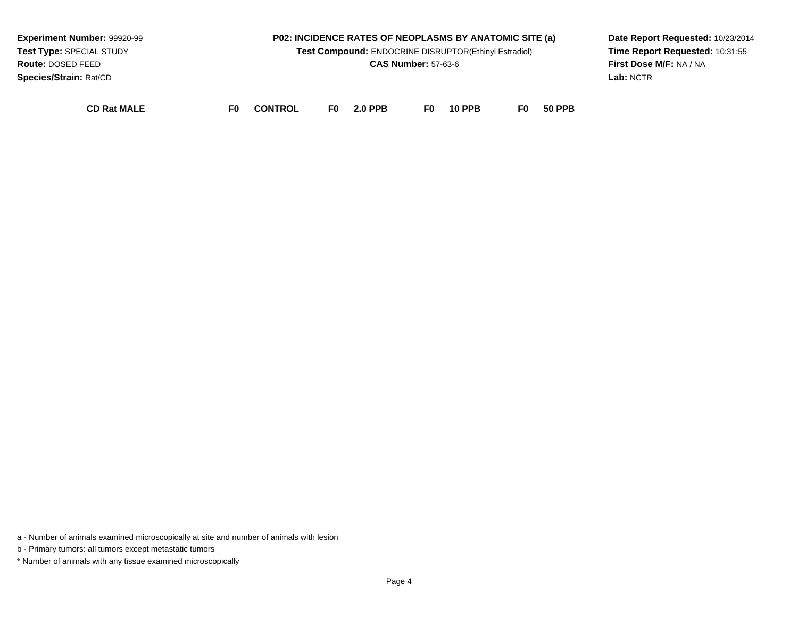| <b>Experiment Number: 99920-99</b><br>Test Type: SPECIAL STUDY<br><b>Route: DOSED FEED</b><br>Species/Strain: Rat/CD |    | <b>P02: INCIDENCE RATES OF NEOPLASMS BY ANATOMIC SITE (a)</b><br>Test Compound: ENDOCRINE DISRUPTOR(Ethinyl Estradiol)<br><b>CAS Number: 57-63-6</b> |     |                |     |               |     | Date Report Requested: 10/23/2014<br>Time Report Requested: 10:31:55<br>First Dose M/F: NA / NA<br>Lab: NCTR |  |
|----------------------------------------------------------------------------------------------------------------------|----|------------------------------------------------------------------------------------------------------------------------------------------------------|-----|----------------|-----|---------------|-----|--------------------------------------------------------------------------------------------------------------|--|
| <b>CD Rat MALE</b>                                                                                                   | F0 | <b>CONTROL</b>                                                                                                                                       | F0. | <b>2.0 PPB</b> | F0. | <b>10 PPB</b> | F0. | <b>50 PPB</b>                                                                                                |  |

a - Number of animals examined microscopically at site and number of animals with lesion

b - Primary tumors: all tumors except metastatic tumors

\* Number of animals with any tissue examined microscopically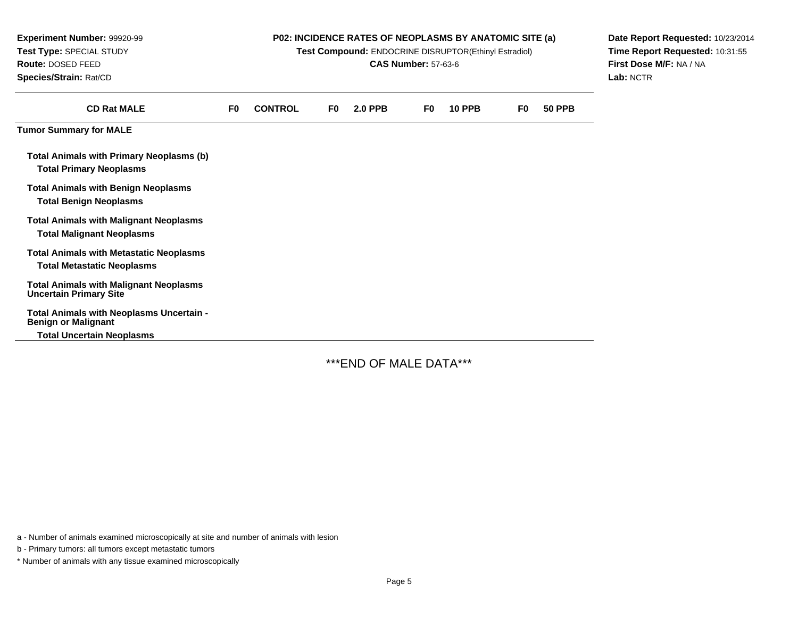| Experiment Number: 99920-99<br>Test Type: SPECIAL STUDY<br>Route: DOSED FEED<br>Species/Strain: Rat/CD     | P02: INCIDENCE RATES OF NEOPLASMS BY ANATOMIC SITE (a)<br>Test Compound: ENDOCRINE DISRUPTOR(Ethinyl Estradiol)<br><b>CAS Number: 57-63-6</b> |                |    |                |    |               |    | Date Report Requested: 10/23/2014<br>Time Report Requested: 10:31:55<br>First Dose M/F: NA / NA<br>Lab: NCTR |  |
|------------------------------------------------------------------------------------------------------------|-----------------------------------------------------------------------------------------------------------------------------------------------|----------------|----|----------------|----|---------------|----|--------------------------------------------------------------------------------------------------------------|--|
| <b>CD Rat MALE</b>                                                                                         | F <sub>0</sub>                                                                                                                                | <b>CONTROL</b> | F0 | <b>2.0 PPB</b> | F0 | <b>10 PPB</b> | F0 | <b>50 PPB</b>                                                                                                |  |
| <b>Tumor Summary for MALE</b>                                                                              |                                                                                                                                               |                |    |                |    |               |    |                                                                                                              |  |
| <b>Total Animals with Primary Neoplasms (b)</b><br><b>Total Primary Neoplasms</b>                          |                                                                                                                                               |                |    |                |    |               |    |                                                                                                              |  |
| <b>Total Animals with Benign Neoplasms</b><br><b>Total Benign Neoplasms</b>                                |                                                                                                                                               |                |    |                |    |               |    |                                                                                                              |  |
| <b>Total Animals with Malignant Neoplasms</b><br><b>Total Malignant Neoplasms</b>                          |                                                                                                                                               |                |    |                |    |               |    |                                                                                                              |  |
| <b>Total Animals with Metastatic Neoplasms</b><br><b>Total Metastatic Neoplasms</b>                        |                                                                                                                                               |                |    |                |    |               |    |                                                                                                              |  |
| <b>Total Animals with Malignant Neoplasms</b><br><b>Uncertain Primary Site</b>                             |                                                                                                                                               |                |    |                |    |               |    |                                                                                                              |  |
| Total Animals with Neoplasms Uncertain -<br><b>Benign or Malignant</b><br><b>Total Uncertain Neoplasms</b> |                                                                                                                                               |                |    |                |    |               |    |                                                                                                              |  |

\*\*\*END OF MALE DATA\*\*\*

a - Number of animals examined microscopically at site and number of animals with lesion

b - Primary tumors: all tumors except metastatic tumors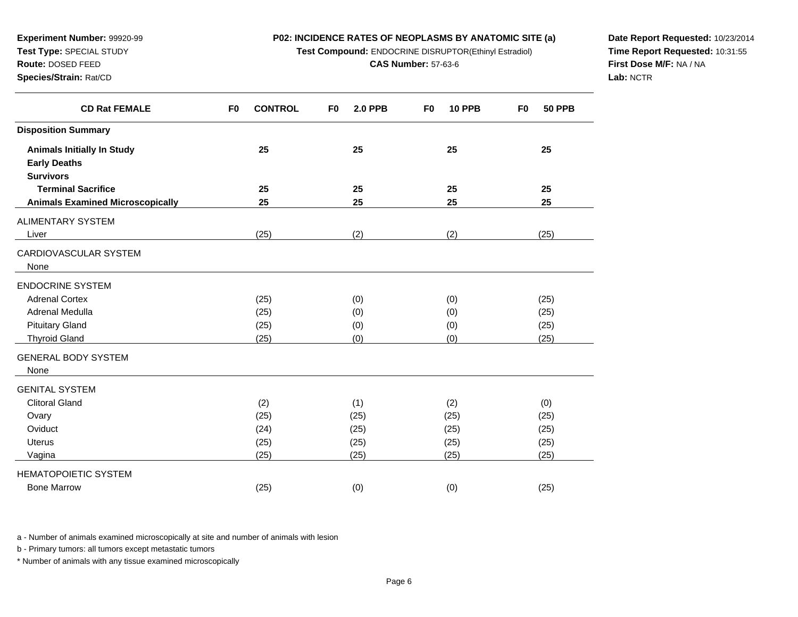## **P02: INCIDENCE RATES OF NEOPLASMS BY ANATOMIC SITE (a)**

**Test Compound:** ENDOCRINE DISRUPTOR(Ethinyl Estradiol)

**CAS Number:** 57-63-6

**Date Report Requested:** 10/23/2014**Time Report Requested:** 10:31:55**First Dose M/F:** NA / NA**Lab:** NCTR

| <b>CD Rat FEMALE</b>                    | <b>CONTROL</b><br>F <sub>0</sub> | F <sub>0</sub><br><b>2.0 PPB</b> | <b>10 PPB</b><br>F <sub>0</sub> | <b>50 PPB</b><br>F0 |
|-----------------------------------------|----------------------------------|----------------------------------|---------------------------------|---------------------|
| <b>Disposition Summary</b>              |                                  |                                  |                                 |                     |
| <b>Animals Initially In Study</b>       | 25                               | 25                               | 25                              | 25                  |
| <b>Early Deaths</b>                     |                                  |                                  |                                 |                     |
| <b>Survivors</b>                        |                                  |                                  |                                 |                     |
| <b>Terminal Sacrifice</b>               | 25                               | 25                               | 25                              | 25                  |
| <b>Animals Examined Microscopically</b> | 25                               | 25                               | 25                              | 25                  |
| ALIMENTARY SYSTEM                       |                                  |                                  |                                 |                     |
| Liver                                   | (25)                             | (2)                              | (2)                             | (25)                |
| CARDIOVASCULAR SYSTEM                   |                                  |                                  |                                 |                     |
| None                                    |                                  |                                  |                                 |                     |
| <b>ENDOCRINE SYSTEM</b>                 |                                  |                                  |                                 |                     |
| <b>Adrenal Cortex</b>                   | (25)                             | (0)                              | (0)                             | (25)                |
| Adrenal Medulla                         | (25)                             | (0)                              | (0)                             | (25)                |
| <b>Pituitary Gland</b>                  | (25)                             | (0)                              | (0)                             | (25)                |
| <b>Thyroid Gland</b>                    | (25)                             | (0)                              | (0)                             | (25)                |
| <b>GENERAL BODY SYSTEM</b>              |                                  |                                  |                                 |                     |
| None                                    |                                  |                                  |                                 |                     |
| <b>GENITAL SYSTEM</b>                   |                                  |                                  |                                 |                     |
| <b>Clitoral Gland</b>                   | (2)                              | (1)                              | (2)                             | (0)                 |
| Ovary                                   | (25)                             | (25)                             | (25)                            | (25)                |
| Oviduct                                 | (24)                             | (25)                             | (25)                            | (25)                |
| Uterus                                  | (25)                             | (25)                             | (25)                            | (25)                |
| Vagina                                  | (25)                             | (25)                             | (25)                            | (25)                |
| <b>HEMATOPOIETIC SYSTEM</b>             |                                  |                                  |                                 |                     |
| <b>Bone Marrow</b>                      | (25)                             | (0)                              | (0)                             | (25)                |
|                                         |                                  |                                  |                                 |                     |

a - Number of animals examined microscopically at site and number of animals with lesion

b - Primary tumors: all tumors except metastatic tumors

**Experiment Number:** 99920-99**Test Type:** SPECIAL STUDY**Route:** DOSED FEED**Species/Strain:** Rat/CD

 $\overline{\phantom{0}}$ 

and a

a.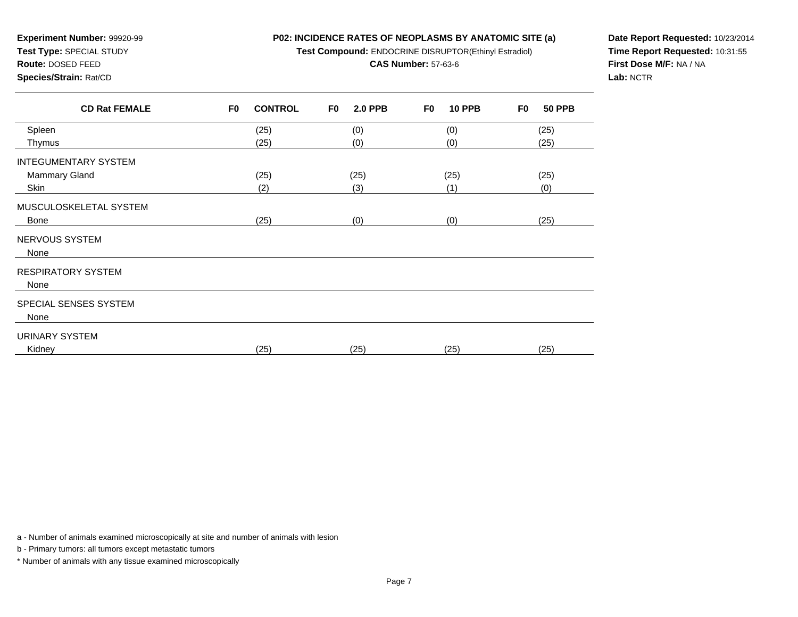# **P02: INCIDENCE RATES OF NEOPLASMS BY ANATOMIC SITE (a)Test Compound:** ENDOCRINE DISRUPTOR(Ethinyl Estradiol)

**CAS Number:** 57-63-6

**Experiment Number:** 99920-99**Test Type:** SPECIAL STUDY

**Route:** DOSED FEED

**Species/Strain:** Rat/CD

**Date Report Requested:** 10/23/2014**Time Report Requested:** 10:31:55**First Dose M/F:** NA / NA**Lab:** NCTR

| (25)<br>(25) |
|--------------|
|              |
|              |
|              |
| (25)<br>(25) |
| (0)          |
|              |
| (25)         |
|              |
|              |
|              |
|              |
|              |
|              |
|              |
| (25)<br>(25) |
|              |

a - Number of animals examined microscopically at site and number of animals with lesion

b - Primary tumors: all tumors except metastatic tumors